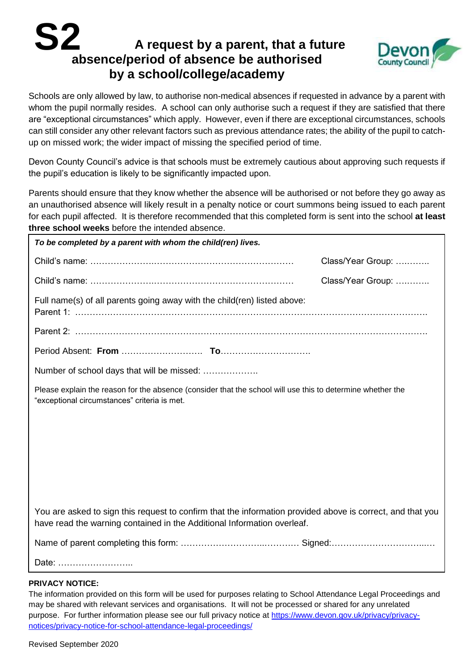# **A request by a parent, that a future absence/period of absence be authorised by a school/college/academy S2**



Schools are only allowed by law, to authorise non-medical absences if requested in advance by a parent with whom the pupil normally resides. A school can only authorise such a request if they are satisfied that there are "exceptional circumstances" which apply. However, even if there are exceptional circumstances, schools can still consider any other relevant factors such as previous attendance rates; the ability of the pupil to catchup on missed work; the wider impact of missing the specified period of time.

Devon County Council's advice is that schools must be extremely cautious about approving such requests if the pupil's education is likely to be significantly impacted upon.

Parents should ensure that they know whether the absence will be authorised or not before they go away as an unauthorised absence will likely result in a penalty notice or court summons being issued to each parent for each pupil affected. It is therefore recommended that this completed form is sent into the school **at least three school weeks** before the intended absence.

| To be completed by a parent with whom the child(ren) lives.                                                                                                                           |                   |  |
|---------------------------------------------------------------------------------------------------------------------------------------------------------------------------------------|-------------------|--|
|                                                                                                                                                                                       | Class/Year Group: |  |
|                                                                                                                                                                                       | Class/Year Group: |  |
| Full name(s) of all parents going away with the child(ren) listed above:                                                                                                              |                   |  |
|                                                                                                                                                                                       |                   |  |
|                                                                                                                                                                                       |                   |  |
| Number of school days that will be missed:                                                                                                                                            |                   |  |
| Please explain the reason for the absence (consider that the school will use this to determine whether the<br>"exceptional circumstances" criteria is met.                            |                   |  |
|                                                                                                                                                                                       |                   |  |
|                                                                                                                                                                                       |                   |  |
|                                                                                                                                                                                       |                   |  |
|                                                                                                                                                                                       |                   |  |
|                                                                                                                                                                                       |                   |  |
| You are asked to sign this request to confirm that the information provided above is correct, and that you<br>have read the warning contained in the Additional Information overleaf. |                   |  |
|                                                                                                                                                                                       |                   |  |
| Date:                                                                                                                                                                                 |                   |  |

### **PRIVACY NOTICE:**

The information provided on this form will be used for purposes relating to School Attendance Legal Proceedings and may be shared with relevant services and organisations. It will not be processed or shared for any unrelated purpose. For further information please see our full privacy notice at [https://www.devon.gov.uk/privacy/privacy](https://www.devon.gov.uk/privacy/privacy-notices/privacy-notice-for-school-attendance-legal-proceedings/)[notices/privacy-notice-for-school-attendance-legal-proceedings/](https://www.devon.gov.uk/privacy/privacy-notices/privacy-notice-for-school-attendance-legal-proceedings/)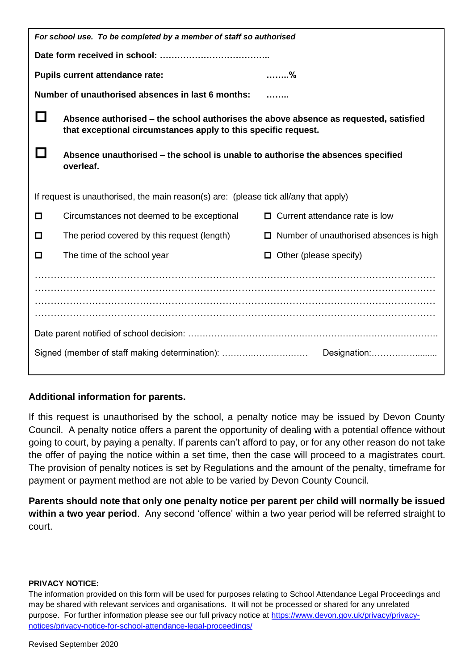| For school use. To be completed by a member of staff so authorised                   |                                                                                                                                                        |                                                |  |
|--------------------------------------------------------------------------------------|--------------------------------------------------------------------------------------------------------------------------------------------------------|------------------------------------------------|--|
|                                                                                      |                                                                                                                                                        |                                                |  |
| <b>Pupils current attendance rate:</b><br>. %                                        |                                                                                                                                                        |                                                |  |
| Number of unauthorised absences in last 6 months:                                    |                                                                                                                                                        |                                                |  |
|                                                                                      | Absence authorised – the school authorises the above absence as requested, satisfied<br>that exceptional circumstances apply to this specific request. |                                                |  |
|                                                                                      | Absence unauthorised – the school is unable to authorise the absences specified<br>overleaf.                                                           |                                                |  |
| If request is unauthorised, the main reason(s) are: (please tick all/any that apply) |                                                                                                                                                        |                                                |  |
| $\Box$                                                                               | Circumstances not deemed to be exceptional                                                                                                             | $\Box$ Current attendance rate is low          |  |
| □                                                                                    | The period covered by this request (length)                                                                                                            | $\Box$ Number of unauthorised absences is high |  |
| □                                                                                    | The time of the school year                                                                                                                            | Other (please specify)<br>$\Box$               |  |
|                                                                                      |                                                                                                                                                        |                                                |  |
|                                                                                      |                                                                                                                                                        |                                                |  |
|                                                                                      |                                                                                                                                                        |                                                |  |
|                                                                                      |                                                                                                                                                        |                                                |  |
|                                                                                      |                                                                                                                                                        |                                                |  |

## **Additional information for parents.**

If this request is unauthorised by the school, a penalty notice may be issued by Devon County Council. A penalty notice offers a parent the opportunity of dealing with a potential offence without going to court, by paying a penalty. If parents can't afford to pay, or for any other reason do not take the offer of paying the notice within a set time, then the case will proceed to a magistrates court. The provision of penalty notices is set by Regulations and the amount of the penalty, timeframe for payment or payment method are not able to be varied by Devon County Council.

**Parents should note that only one penalty notice per parent per child will normally be issued within a two year period**. Any second 'offence' within a two year period will be referred straight to court.

### **PRIVACY NOTICE:**

The information provided on this form will be used for purposes relating to School Attendance Legal Proceedings and may be shared with relevant services and organisations. It will not be processed or shared for any unrelated purpose. For further information please see our full privacy notice at [https://www.devon.gov.uk/privacy/privacy](https://www.devon.gov.uk/privacy/privacy-notices/privacy-notice-for-school-attendance-legal-proceedings/)[notices/privacy-notice-for-school-attendance-legal-proceedings/](https://www.devon.gov.uk/privacy/privacy-notices/privacy-notice-for-school-attendance-legal-proceedings/)